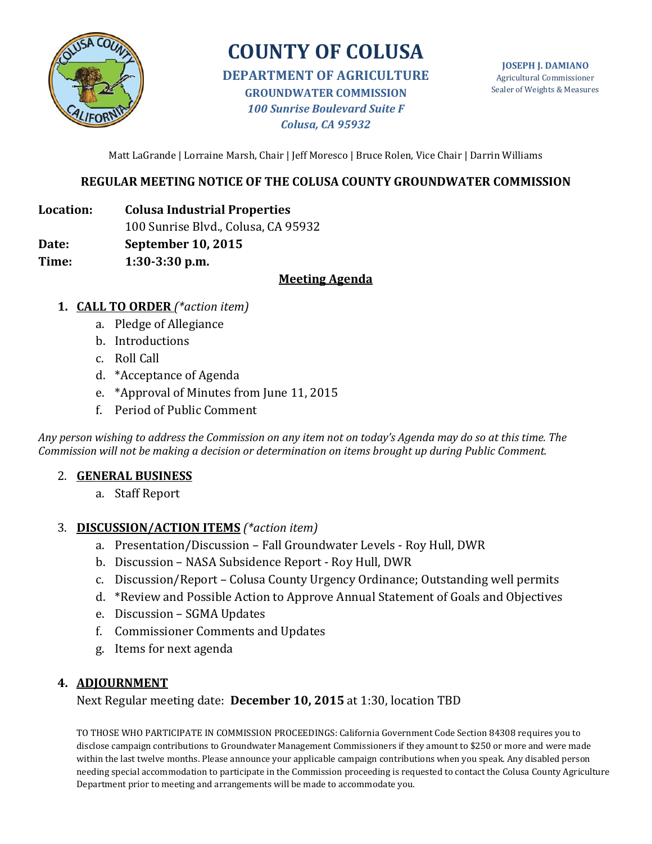

# **COUNTY OF COLUSA**

**DEPARTMENT OF AGRICULTURE GROUNDWATER COMMISSION** *100 Sunrise Boulevard Suite F Colusa, CA 95932*

Matt LaGrande | Lorraine Marsh, Chair | Jeff Moresco | Bruce Rolen, Vice Chair | Darrin Williams

#### **REGULAR MEETING NOTICE OF THE COLUSA COUNTY GROUNDWATER COMMISSION**

**Location: Colusa Industrial Properties**

100 Sunrise Blvd., Colusa, CA 95932

**Date: September 10, 2015** 

**Time: 1:30-3:30 p.m.**

#### **Meeting Agenda**

- **1. CALL TO ORDER** *(\*action item)*
	- a. Pledge of Allegiance
	- b. Introductions
	- c. Roll Call
	- d. \*Acceptance of Agenda
	- e. \*Approval of Minutes from June 11, 2015
	- f. Period of Public Comment

*Any person wishing to address the Commission on any item not on today's Agenda may do so at this time. The Commission will not be making a decision or determination on items brought up during Public Comment.*

#### 2. **GENERAL BUSINESS**

a. Staff Report

#### 3. **DISCUSSION/ACTION ITEMS** *(\*action item)*

- a. Presentation/Discussion Fall Groundwater Levels Roy Hull, DWR
- b. Discussion NASA Subsidence Report Roy Hull, DWR
- c. Discussion/Report Colusa County Urgency Ordinance; Outstanding well permits
- d. \*Review and Possible Action to Approve Annual Statement of Goals and Objectives
- e. Discussion SGMA Updates
- f. Commissioner Comments and Updates
- g. Items for next agenda

### **4. ADJOURNMENT**

Next Regular meeting date: **December 10, 2015** at 1:30, location TBD

TO THOSE WHO PARTICIPATE IN COMMISSION PROCEEDINGS: California Government Code Section 84308 requires you to disclose campaign contributions to Groundwater Management Commissioners if they amount to \$250 or more and were made within the last twelve months. Please announce your applicable campaign contributions when you speak. Any disabled person needing special accommodation to participate in the Commission proceeding is requested to contact the Colusa County Agriculture Department prior to meeting and arrangements will be made to accommodate you.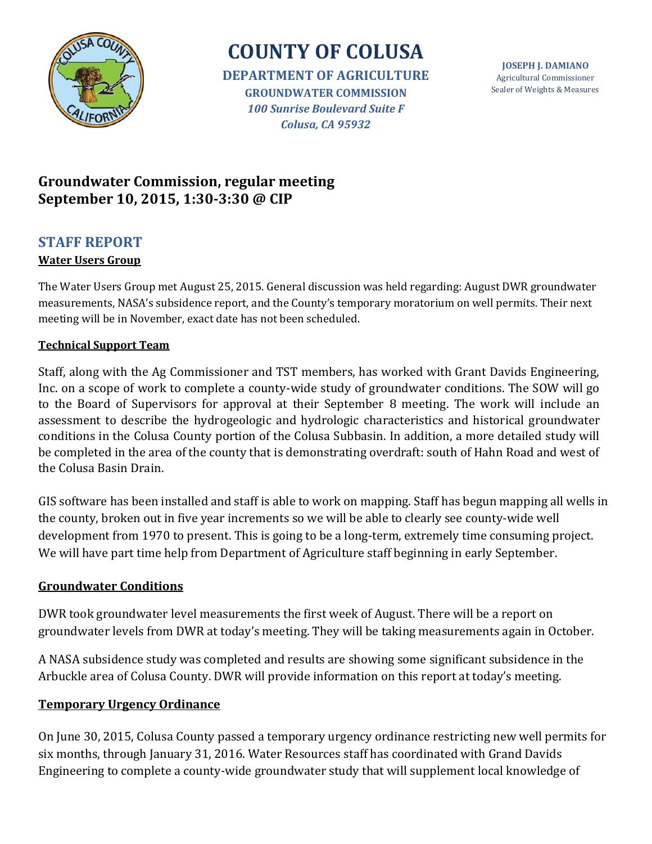

# **COUNTY OF COLUSA**

**DEPARTMENT OF AGRICULTURE GROUNDWATER COMMISSION** *100 Sunrise Boulevard Suite F Colusa, CA 95932*

**JOSEPH J. DAMIANO** Agricultural Commissioner Sealer of Weights & Measures

## **Groundwater Commission, regular meeting September 10, 2015, 1:30-3:30 @ CIP**

## **STAFF REPORT**

### **Water Users Group**

The Water Users Group met August 25, 2015. General discussion was held regarding: August DWR groundwater measurements, NASA's subsidence report, and the County's temporary moratorium on well permits. Their next meeting will be in November, exact date has not been scheduled.

### **Technical Support Team**

Staff, along with the Ag Commissioner and TST members, has worked with Grant Davids Engineering, Inc. on a scope of work to complete a county-wide study of groundwater conditions. The SOW will go to the Board of Supervisors for approval at their September 8 meeting. The work will include an assessment to describe the hydrogeologic and hydrologic characteristics and historical groundwater conditions in the Colusa County portion of the Colusa Subbasin. In addition, a more detailed study will be completed in the area of the county that is demonstrating overdraft: south of Hahn Road and west of the Colusa Basin Drain.

GIS software has been installed and staff is able to work on mapping. Staff has begun mapping all wells in the county, broken out in five year increments so we will be able to clearly see county-wide well development from 1970 to present. This is going to be a long-term, extremely time consuming project. We will have part time help from Department of Agriculture staff beginning in early September.

### **Groundwater Conditions**

DWR took groundwater level measurements the first week of August. There will be a report on groundwater levels from DWR at today's meeting. They will be taking measurements again in October.

A NASA subsidence study was completed and results are showing some significant subsidence in the Arbuckle area of Colusa County. DWR will provide information on this report at today's meeting.

### **Temporary Urgency Ordinance**

On June 30, 2015, Colusa County passed a temporary urgency ordinance restricting new well permits for six months, through January 31, 2016. Water Resources staff has coordinated with Grand Davids Engineering to complete a county-wide groundwater study that will supplement local knowledge of